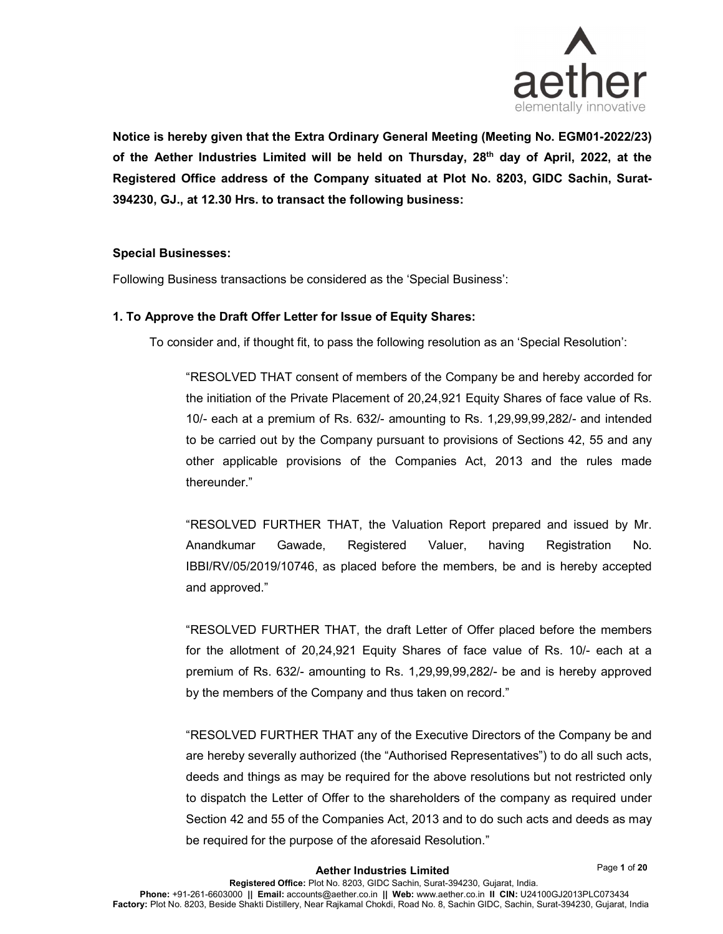

Notice is hereby given that the Extra Ordinary General Meeting (Meeting No. EGM01-2022/23) of the Aether Industries Limited will be held on Thursday,  $28<sup>th</sup>$  day of April, 2022, at the Registered Office address of the Company situated at Plot No. 8203, GIDC Sachin, Surat-394230, GJ., at 12.30 Hrs. to transact the following business:

#### Special Businesses:

Following Business transactions be considered as the 'Special Business':

#### 1. To Approve the Draft Offer Letter for Issue of Equity Shares:

To consider and, if thought fit, to pass the following resolution as an 'Special Resolution':

"RESOLVED THAT consent of members of the Company be and hereby accorded for the initiation of the Private Placement of 20,24,921 Equity Shares of face value of Rs. 10/- each at a premium of Rs. 632/- amounting to Rs. 1,29,99,99,282/- and intended to be carried out by the Company pursuant to provisions of Sections 42, 55 and any other applicable provisions of the Companies Act, 2013 and the rules made thereunder."

"RESOLVED FURTHER THAT, the Valuation Report prepared and issued by Mr. Anandkumar Gawade, Registered Valuer, having Registration No. IBBI/RV/05/2019/10746, as placed before the members, be and is hereby accepted and approved."

"RESOLVED FURTHER THAT, the draft Letter of Offer placed before the members for the allotment of 20,24,921 Equity Shares of face value of Rs. 10/- each at a premium of Rs. 632/- amounting to Rs. 1,29,99,99,282/- be and is hereby approved by the members of the Company and thus taken on record."

"RESOLVED FURTHER THAT any of the Executive Directors of the Company be and are hereby severally authorized (the "Authorised Representatives") to do all such acts, deeds and things as may be required for the above resolutions but not restricted only to dispatch the Letter of Offer to the shareholders of the company as required under Section 42 and 55 of the Companies Act, 2013 and to do such acts and deeds as may be required for the purpose of the aforesaid Resolution."

Page 1 of 20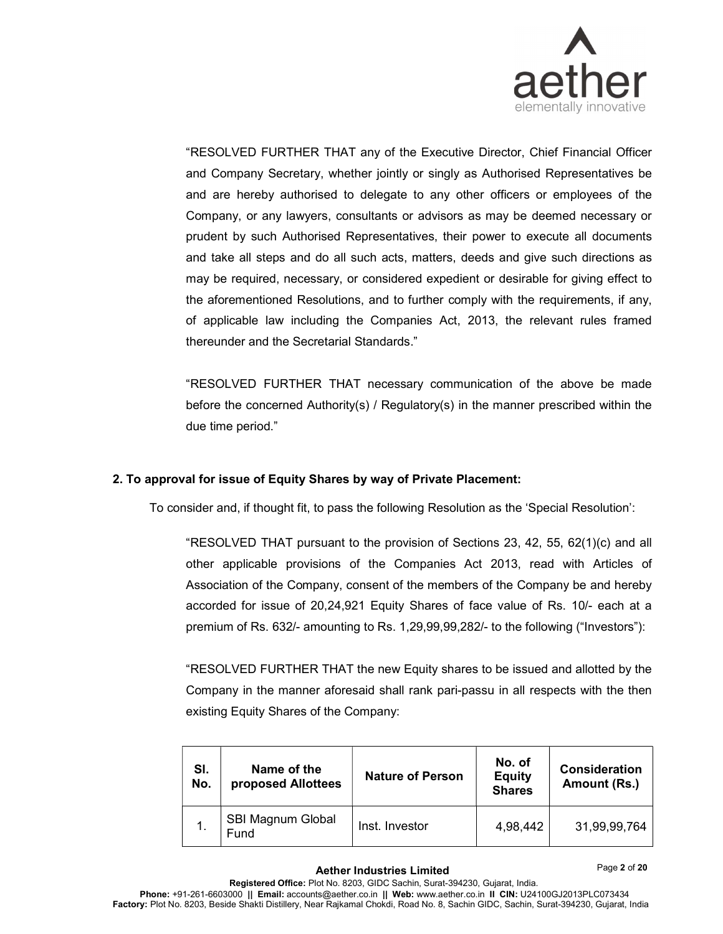

"RESOLVED FURTHER THAT any of the Executive Director, Chief Financial Officer and Company Secretary, whether jointly or singly as Authorised Representatives be and are hereby authorised to delegate to any other officers or employees of the Company, or any lawyers, consultants or advisors as may be deemed necessary or prudent by such Authorised Representatives, their power to execute all documents and take all steps and do all such acts, matters, deeds and give such directions as may be required, necessary, or considered expedient or desirable for giving effect to the aforementioned Resolutions, and to further comply with the requirements, if any, of applicable law including the Companies Act, 2013, the relevant rules framed thereunder and the Secretarial Standards."

"RESOLVED FURTHER THAT necessary communication of the above be made before the concerned Authority(s) / Regulatory(s) in the manner prescribed within the due time period."

# 2. To approval for issue of Equity Shares by way of Private Placement:

To consider and, if thought fit, to pass the following Resolution as the 'Special Resolution':

"RESOLVED THAT pursuant to the provision of Sections 23, 42, 55, 62(1)(c) and all other applicable provisions of the Companies Act 2013, read with Articles of Association of the Company, consent of the members of the Company be and hereby accorded for issue of 20,24,921 Equity Shares of face value of Rs. 10/- each at a premium of Rs. 632/- amounting to Rs. 1,29,99,99,282/- to the following ("Investors"):

"RESOLVED FURTHER THAT the new Equity shares to be issued and allotted by the Company in the manner aforesaid shall rank pari-passu in all respects with the then existing Equity Shares of the Company:

| SI.<br>No. | Name of the<br>proposed Allottees | <b>Nature of Person</b> | No. of<br><b>Equity</b><br><b>Shares</b> | <b>Consideration</b><br>Amount (Rs.) |
|------------|-----------------------------------|-------------------------|------------------------------------------|--------------------------------------|
|            | <b>SBI Magnum Global</b><br>Fund  | Inst. Investor          | 4,98,442                                 | 31,99,99,764                         |

Page 2 of 20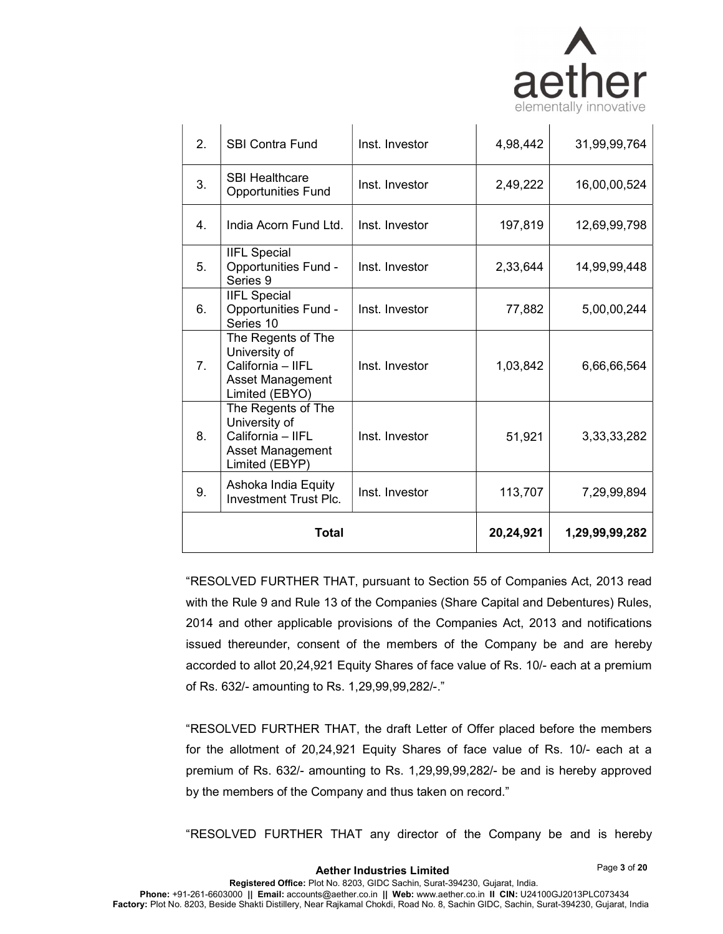

| <b>Total</b>   |                                                                                                |                | 20,24,921 | 1,29,99,99,282 |  |
|----------------|------------------------------------------------------------------------------------------------|----------------|-----------|----------------|--|
| 9.             | Ashoka India Equity<br><b>Investment Trust Plc.</b>                                            | Inst. Investor | 113,707   | 7,29,99,894    |  |
| 8.             | The Regents of The<br>University of<br>California - IIFL<br>Asset Management<br>Limited (EBYP) | Inst. Investor | 51,921    | 3, 33, 33, 282 |  |
| 7 <sub>1</sub> | The Regents of The<br>University of<br>California - IIFL<br>Asset Management<br>Limited (EBYO) | Inst. Investor | 1,03,842  | 6,66,66,564    |  |
| 6.             | <b>IIFL Special</b><br><b>Opportunities Fund -</b><br>Series 10                                | Inst. Investor | 77,882    | 5,00,00,244    |  |
| 5.             | <b>IIFL Special</b><br><b>Opportunities Fund -</b><br>Series 9                                 | Inst. Investor | 2,33,644  | 14,99,99,448   |  |
| 4.             | India Acorn Fund Ltd.                                                                          | Inst. Investor | 197,819   | 12,69,99,798   |  |
| 3.             | <b>SBI Healthcare</b><br><b>Opportunities Fund</b>                                             | Inst. Investor | 2,49,222  | 16,00,00,524   |  |
| 2.             | <b>SBI Contra Fund</b>                                                                         | Inst. Investor | 4,98,442  | 31,99,99,764   |  |

"RESOLVED FURTHER THAT, pursuant to Section 55 of Companies Act, 2013 read with the Rule 9 and Rule 13 of the Companies (Share Capital and Debentures) Rules, 2014 and other applicable provisions of the Companies Act, 2013 and notifications issued thereunder, consent of the members of the Company be and are hereby accorded to allot 20,24,921 Equity Shares of face value of Rs. 10/- each at a premium of Rs. 632/- amounting to Rs. 1,29,99,99,282/-."

"RESOLVED FURTHER THAT, the draft Letter of Offer placed before the members for the allotment of 20,24,921 Equity Shares of face value of Rs. 10/- each at a premium of Rs. 632/- amounting to Rs. 1,29,99,99,282/- be and is hereby approved by the members of the Company and thus taken on record."

"RESOLVED FURTHER THAT any director of the Company be and is hereby

Page 3 of 20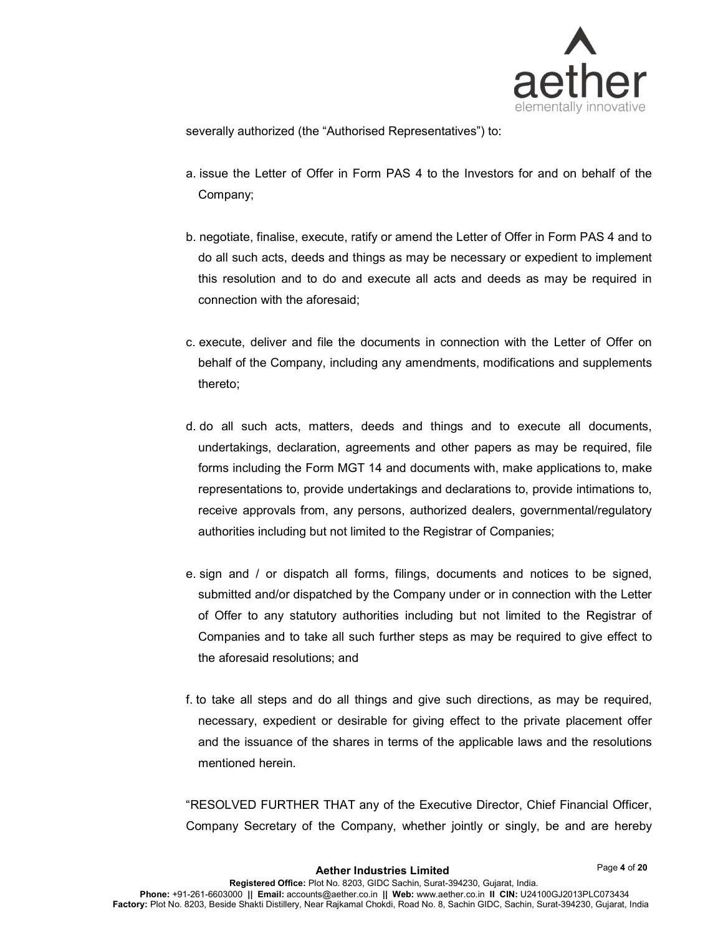

severally authorized (the "Authorised Representatives") to:

- a. issue the Letter of Offer in Form PAS 4 to the Investors for and on behalf of the Company;
- b. negotiate, finalise, execute, ratify or amend the Letter of Offer in Form PAS 4 and to do all such acts, deeds and things as may be necessary or expedient to implement this resolution and to do and execute all acts and deeds as may be required in connection with the aforesaid;
- c. execute, deliver and file the documents in connection with the Letter of Offer on behalf of the Company, including any amendments, modifications and supplements thereto;
- d. do all such acts, matters, deeds and things and to execute all documents, undertakings, declaration, agreements and other papers as may be required, file forms including the Form MGT 14 and documents with, make applications to, make representations to, provide undertakings and declarations to, provide intimations to, receive approvals from, any persons, authorized dealers, governmental/regulatory authorities including but not limited to the Registrar of Companies;
- e. sign and / or dispatch all forms, filings, documents and notices to be signed, submitted and/or dispatched by the Company under or in connection with the Letter of Offer to any statutory authorities including but not limited to the Registrar of Companies and to take all such further steps as may be required to give effect to the aforesaid resolutions; and
- f. to take all steps and do all things and give such directions, as may be required, necessary, expedient or desirable for giving effect to the private placement offer and the issuance of the shares in terms of the applicable laws and the resolutions mentioned herein.

"RESOLVED FURTHER THAT any of the Executive Director, Chief Financial Officer, Company Secretary of the Company, whether jointly or singly, be and are hereby

Page 4 of 20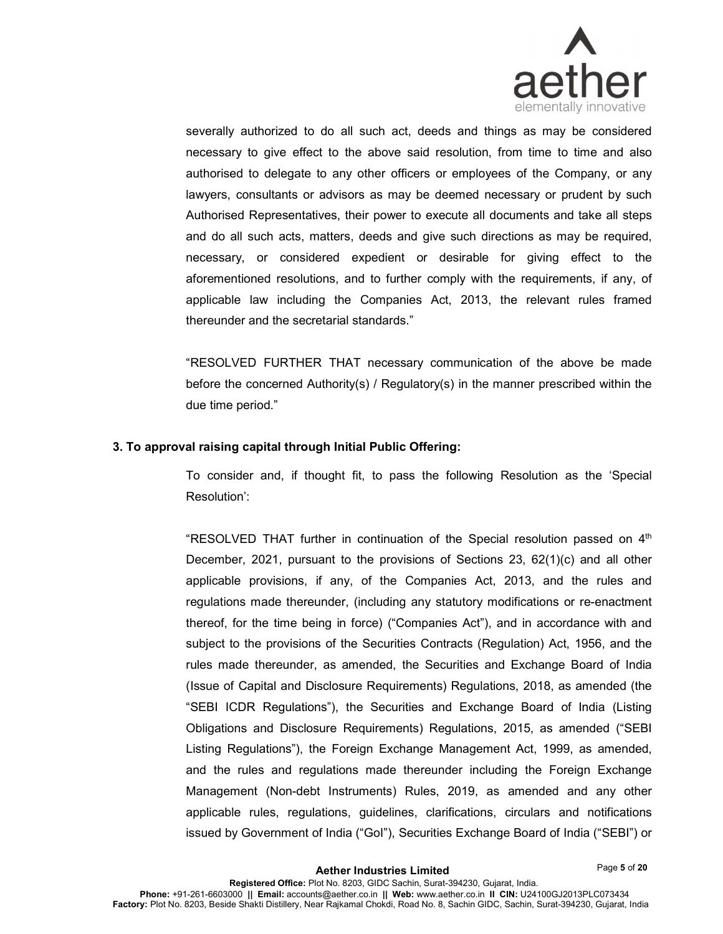

severally authorized to do all such act, deeds and things as may be considered necessary to give effect to the above said resolution, from time to time and also authorised to delegate to any other officers or employees of the Company, or any lawyers, consultants or advisors as may be deemed necessary or prudent by such Authorised Representatives, their power to execute all documents and take all steps and do all such acts, matters, deeds and give such directions as may be required, necessary, or considered expedient or desirable for giving effect to the aforementioned resolutions, and to further comply with the requirements, if any, of applicable law including the Companies Act, 2013, the relevant rules framed thereunder and the secretarial standards."

"RESOLVED FURTHER THAT necessary communication of the above be made before the concerned Authority(s) / Regulatory(s) in the manner prescribed within the due time period."

#### 3. To approval raising capital through Initial Public Offering:

To consider and, if thought fit, to pass the following Resolution as the 'Special Resolution':

"RESOLVED THAT further in continuation of the Special resolution passed on  $4<sup>th</sup>$ December, 2021, pursuant to the provisions of Sections 23, 62(1)(c) and all other applicable provisions, if any, of the Companies Act, 2013, and the rules and regulations made thereunder, (including any statutory modifications or re-enactment thereof, for the time being in force) ("Companies Act"), and in accordance with and subject to the provisions of the Securities Contracts (Regulation) Act, 1956, and the rules made thereunder, as amended, the Securities and Exchange Board of India (Issue of Capital and Disclosure Requirements) Regulations, 2018, as amended (the "SEBI ICDR Regulations"), the Securities and Exchange Board of India (Listing Obligations and Disclosure Requirements) Regulations, 2015, as amended ("SEBI Listing Regulations"), the Foreign Exchange Management Act, 1999, as amended, and the rules and regulations made thereunder including the Foreign Exchange Management (Non-debt Instruments) Rules, 2019, as amended and any other applicable rules, regulations, guidelines, clarifications, circulars and notifications issued by Government of India ("GoI"), Securities Exchange Board of India ("SEBI") or

Page 5 of 20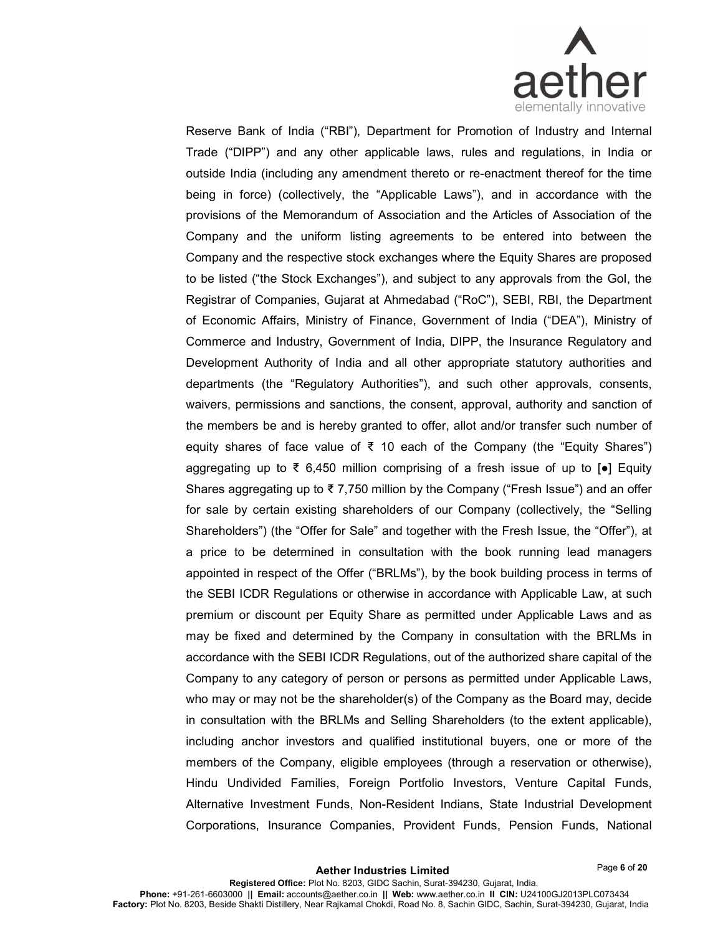

Reserve Bank of India ("RBI"), Department for Promotion of Industry and Internal Trade ("DIPP") and any other applicable laws, rules and regulations, in India or outside India (including any amendment thereto or re-enactment thereof for the time being in force) (collectively, the "Applicable Laws"), and in accordance with the provisions of the Memorandum of Association and the Articles of Association of the Company and the uniform listing agreements to be entered into between the Company and the respective stock exchanges where the Equity Shares are proposed to be listed ("the Stock Exchanges"), and subject to any approvals from the GoI, the Registrar of Companies, Gujarat at Ahmedabad ("RoC"), SEBI, RBI, the Department of Economic Affairs, Ministry of Finance, Government of India ("DEA"), Ministry of Commerce and Industry, Government of India, DIPP, the Insurance Regulatory and Development Authority of India and all other appropriate statutory authorities and departments (the "Regulatory Authorities"), and such other approvals, consents, waivers, permissions and sanctions, the consent, approval, authority and sanction of the members be and is hereby granted to offer, allot and/or transfer such number of equity shares of face value of ₹ 10 each of the Company (the "Equity Shares") aggregating up to ₹ 6,450 million comprising of a fresh issue of up to  $\lceil \bullet \rceil$  Equity Shares aggregating up to  $\overline{\tau}$  7,750 million by the Company ("Fresh Issue") and an offer for sale by certain existing shareholders of our Company (collectively, the "Selling Shareholders") (the "Offer for Sale" and together with the Fresh Issue, the "Offer"), at a price to be determined in consultation with the book running lead managers appointed in respect of the Offer ("BRLMs"), by the book building process in terms of the SEBI ICDR Regulations or otherwise in accordance with Applicable Law, at such premium or discount per Equity Share as permitted under Applicable Laws and as may be fixed and determined by the Company in consultation with the BRLMs in accordance with the SEBI ICDR Regulations, out of the authorized share capital of the Company to any category of person or persons as permitted under Applicable Laws, who may or may not be the shareholder(s) of the Company as the Board may, decide in consultation with the BRLMs and Selling Shareholders (to the extent applicable), including anchor investors and qualified institutional buyers, one or more of the members of the Company, eligible employees (through a reservation or otherwise), Hindu Undivided Families, Foreign Portfolio Investors, Venture Capital Funds, Alternative Investment Funds, Non-Resident Indians, State Industrial Development Corporations, Insurance Companies, Provident Funds, Pension Funds, National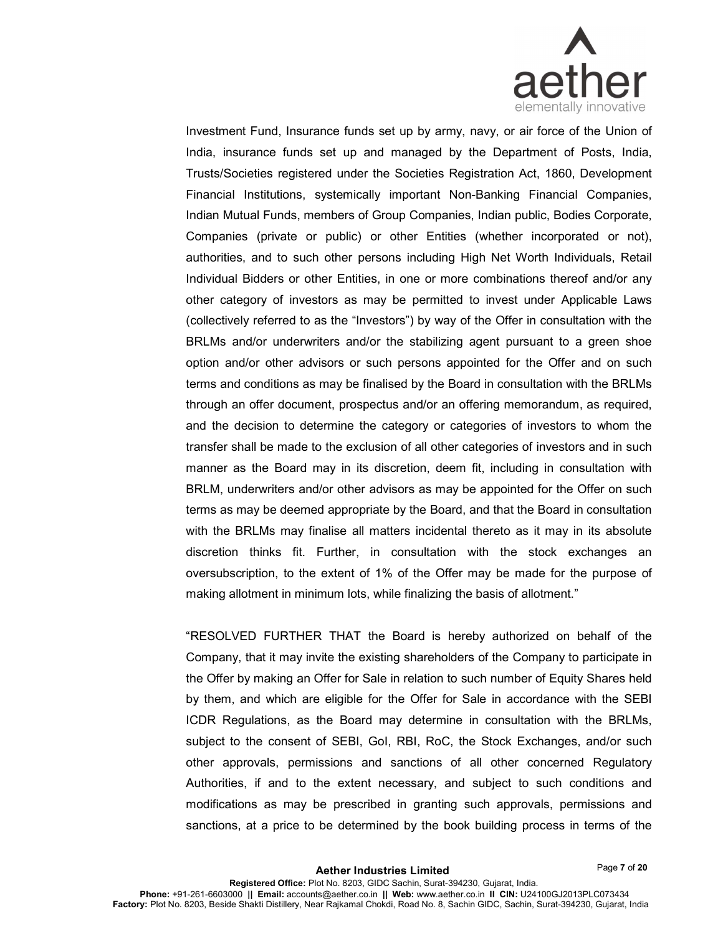

Investment Fund, Insurance funds set up by army, navy, or air force of the Union of India, insurance funds set up and managed by the Department of Posts, India, Trusts/Societies registered under the Societies Registration Act, 1860, Development Financial Institutions, systemically important Non-Banking Financial Companies, Indian Mutual Funds, members of Group Companies, Indian public, Bodies Corporate, Companies (private or public) or other Entities (whether incorporated or not), authorities, and to such other persons including High Net Worth Individuals, Retail Individual Bidders or other Entities, in one or more combinations thereof and/or any other category of investors as may be permitted to invest under Applicable Laws (collectively referred to as the "Investors") by way of the Offer in consultation with the BRLMs and/or underwriters and/or the stabilizing agent pursuant to a green shoe option and/or other advisors or such persons appointed for the Offer and on such terms and conditions as may be finalised by the Board in consultation with the BRLMs through an offer document, prospectus and/or an offering memorandum, as required, and the decision to determine the category or categories of investors to whom the transfer shall be made to the exclusion of all other categories of investors and in such manner as the Board may in its discretion, deem fit, including in consultation with BRLM, underwriters and/or other advisors as may be appointed for the Offer on such terms as may be deemed appropriate by the Board, and that the Board in consultation with the BRLMs may finalise all matters incidental thereto as it may in its absolute discretion thinks fit. Further, in consultation with the stock exchanges an oversubscription, to the extent of 1% of the Offer may be made for the purpose of making allotment in minimum lots, while finalizing the basis of allotment."

"RESOLVED FURTHER THAT the Board is hereby authorized on behalf of the Company, that it may invite the existing shareholders of the Company to participate in the Offer by making an Offer for Sale in relation to such number of Equity Shares held by them, and which are eligible for the Offer for Sale in accordance with the SEBI ICDR Regulations, as the Board may determine in consultation with the BRLMs, subject to the consent of SEBI, GoI, RBI, RoC, the Stock Exchanges, and/or such other approvals, permissions and sanctions of all other concerned Regulatory Authorities, if and to the extent necessary, and subject to such conditions and modifications as may be prescribed in granting such approvals, permissions and sanctions, at a price to be determined by the book building process in terms of the

Page 7 of 20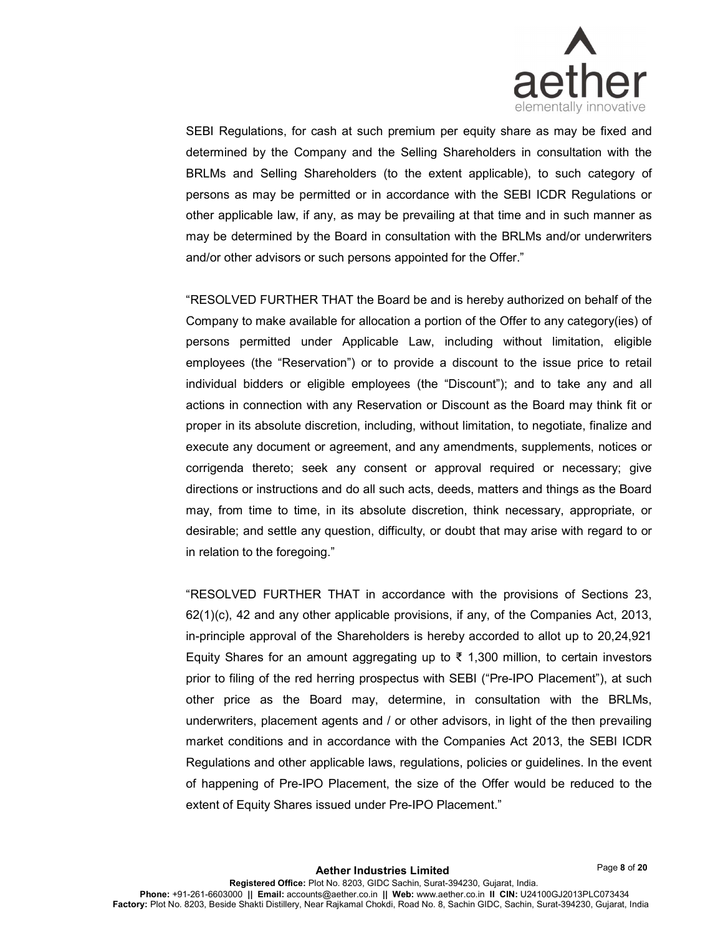

SEBI Regulations, for cash at such premium per equity share as may be fixed and determined by the Company and the Selling Shareholders in consultation with the BRLMs and Selling Shareholders (to the extent applicable), to such category of persons as may be permitted or in accordance with the SEBI ICDR Regulations or other applicable law, if any, as may be prevailing at that time and in such manner as may be determined by the Board in consultation with the BRLMs and/or underwriters and/or other advisors or such persons appointed for the Offer."

"RESOLVED FURTHER THAT the Board be and is hereby authorized on behalf of the Company to make available for allocation a portion of the Offer to any category(ies) of persons permitted under Applicable Law, including without limitation, eligible employees (the "Reservation") or to provide a discount to the issue price to retail individual bidders or eligible employees (the "Discount"); and to take any and all actions in connection with any Reservation or Discount as the Board may think fit or proper in its absolute discretion, including, without limitation, to negotiate, finalize and execute any document or agreement, and any amendments, supplements, notices or corrigenda thereto; seek any consent or approval required or necessary; give directions or instructions and do all such acts, deeds, matters and things as the Board may, from time to time, in its absolute discretion, think necessary, appropriate, or desirable; and settle any question, difficulty, or doubt that may arise with regard to or in relation to the foregoing."

"RESOLVED FURTHER THAT in accordance with the provisions of Sections 23, 62(1)(c), 42 and any other applicable provisions, if any, of the Companies Act, 2013, in-principle approval of the Shareholders is hereby accorded to allot up to 20,24,921 Equity Shares for an amount aggregating up to ₹ 1,300 million, to certain investors prior to filing of the red herring prospectus with SEBI ("Pre-IPO Placement"), at such other price as the Board may, determine, in consultation with the BRLMs, underwriters, placement agents and / or other advisors, in light of the then prevailing market conditions and in accordance with the Companies Act 2013, the SEBI ICDR Regulations and other applicable laws, regulations, policies or guidelines. In the event of happening of Pre-IPO Placement, the size of the Offer would be reduced to the extent of Equity Shares issued under Pre-IPO Placement."

Page 8 of 20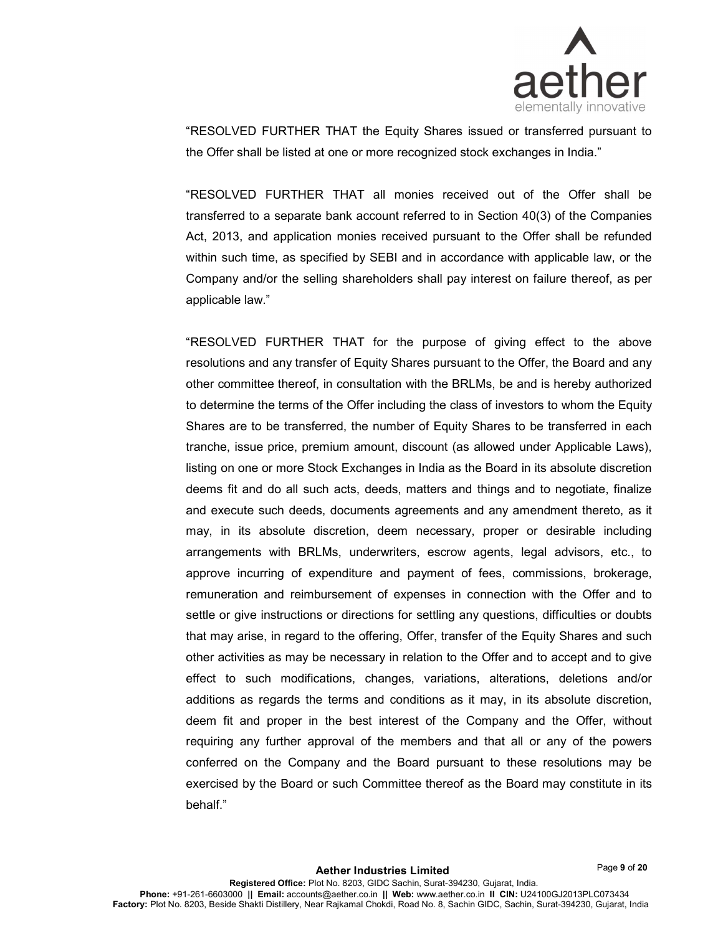

"RESOLVED FURTHER THAT the Equity Shares issued or transferred pursuant to the Offer shall be listed at one or more recognized stock exchanges in India."

"RESOLVED FURTHER THAT all monies received out of the Offer shall be transferred to a separate bank account referred to in Section 40(3) of the Companies Act, 2013, and application monies received pursuant to the Offer shall be refunded within such time, as specified by SEBI and in accordance with applicable law, or the Company and/or the selling shareholders shall pay interest on failure thereof, as per applicable law."

"RESOLVED FURTHER THAT for the purpose of giving effect to the above resolutions and any transfer of Equity Shares pursuant to the Offer, the Board and any other committee thereof, in consultation with the BRLMs, be and is hereby authorized to determine the terms of the Offer including the class of investors to whom the Equity Shares are to be transferred, the number of Equity Shares to be transferred in each tranche, issue price, premium amount, discount (as allowed under Applicable Laws), listing on one or more Stock Exchanges in India as the Board in its absolute discretion deems fit and do all such acts, deeds, matters and things and to negotiate, finalize and execute such deeds, documents agreements and any amendment thereto, as it may, in its absolute discretion, deem necessary, proper or desirable including arrangements with BRLMs, underwriters, escrow agents, legal advisors, etc., to approve incurring of expenditure and payment of fees, commissions, brokerage, remuneration and reimbursement of expenses in connection with the Offer and to settle or give instructions or directions for settling any questions, difficulties or doubts that may arise, in regard to the offering, Offer, transfer of the Equity Shares and such other activities as may be necessary in relation to the Offer and to accept and to give effect to such modifications, changes, variations, alterations, deletions and/or additions as regards the terms and conditions as it may, in its absolute discretion, deem fit and proper in the best interest of the Company and the Offer, without requiring any further approval of the members and that all or any of the powers conferred on the Company and the Board pursuant to these resolutions may be exercised by the Board or such Committee thereof as the Board may constitute in its behalf."

Page 9 of 20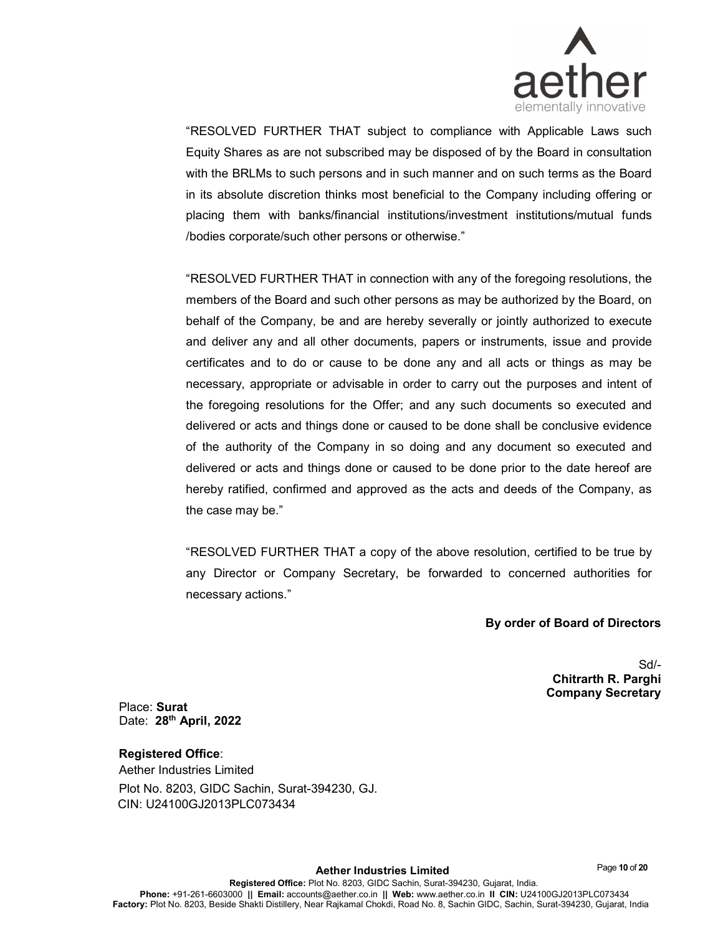

"RESOLVED FURTHER THAT subject to compliance with Applicable Laws such Equity Shares as are not subscribed may be disposed of by the Board in consultation with the BRLMs to such persons and in such manner and on such terms as the Board in its absolute discretion thinks most beneficial to the Company including offering or placing them with banks/financial institutions/investment institutions/mutual funds /bodies corporate/such other persons or otherwise."

"RESOLVED FURTHER THAT in connection with any of the foregoing resolutions, the members of the Board and such other persons as may be authorized by the Board, on behalf of the Company, be and are hereby severally or jointly authorized to execute and deliver any and all other documents, papers or instruments, issue and provide certificates and to do or cause to be done any and all acts or things as may be necessary, appropriate or advisable in order to carry out the purposes and intent of the foregoing resolutions for the Offer; and any such documents so executed and delivered or acts and things done or caused to be done shall be conclusive evidence of the authority of the Company in so doing and any document so executed and delivered or acts and things done or caused to be done prior to the date hereof are hereby ratified, confirmed and approved as the acts and deeds of the Company, as the case may be."

"RESOLVED FURTHER THAT a copy of the above resolution, certified to be true by any Director or Company Secretary, be forwarded to concerned authorities for necessary actions."

By order of Board of Directors

Sd/- Chitrarth R. Parghi Company Secretary

Place: Surat Date: 28<sup>th</sup> April, 2022

# Registered Office:

Aether Industries Limited Plot No. 8203, GIDC Sachin, Surat-394230, GJ. CIN: U24100GJ2013PLC073434

Page 10 of 20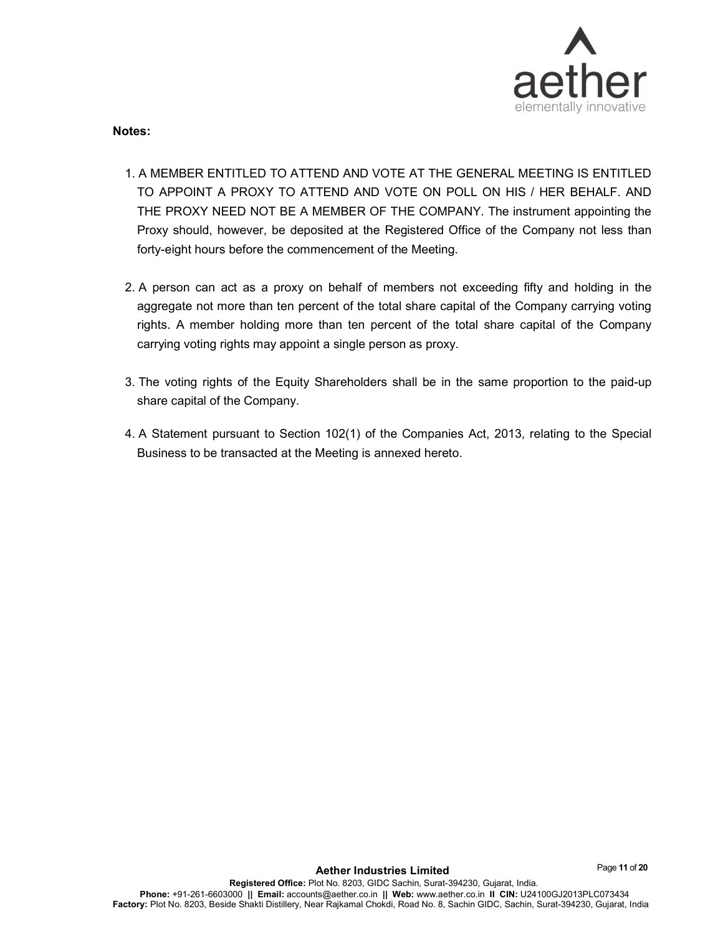

Notes:

- 1. A MEMBER ENTITLED TO ATTEND AND VOTE AT THE GENERAL MEETING IS ENTITLED TO APPOINT A PROXY TO ATTEND AND VOTE ON POLL ON HIS / HER BEHALF. AND THE PROXY NEED NOT BE A MEMBER OF THE COMPANY. The instrument appointing the Proxy should, however, be deposited at the Registered Office of the Company not less than forty-eight hours before the commencement of the Meeting.
- 2. A person can act as a proxy on behalf of members not exceeding fifty and holding in the aggregate not more than ten percent of the total share capital of the Company carrying voting rights. A member holding more than ten percent of the total share capital of the Company carrying voting rights may appoint a single person as proxy.
- 3. The voting rights of the Equity Shareholders shall be in the same proportion to the paid-up share capital of the Company.
- 4. A Statement pursuant to Section 102(1) of the Companies Act, 2013, relating to the Special Business to be transacted at the Meeting is annexed hereto.

Page 11 of 20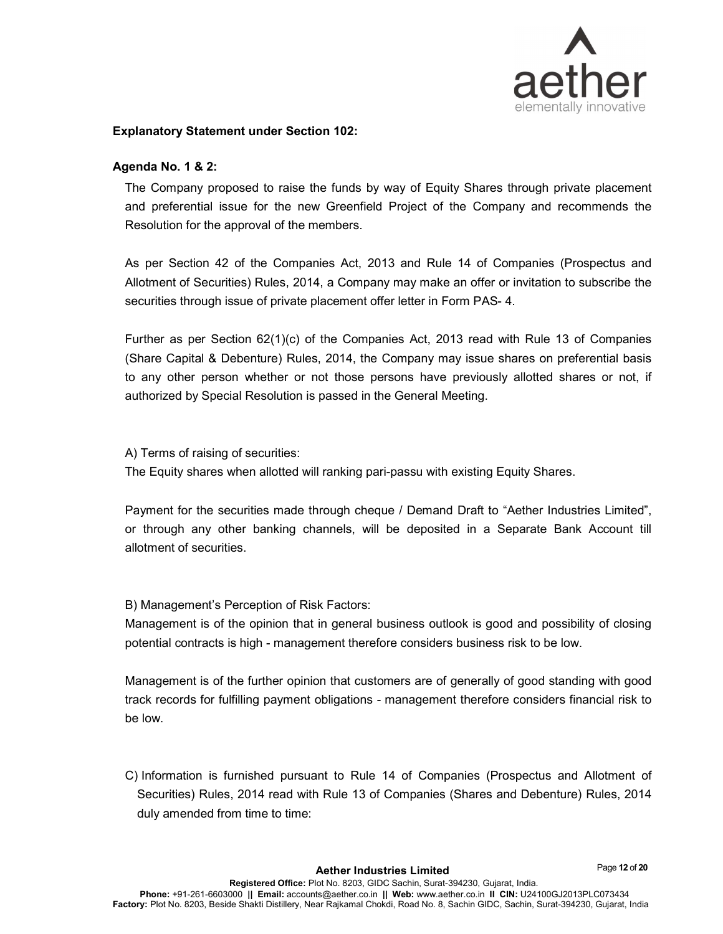

#### Explanatory Statement under Section 102:

### Agenda No. 1 & 2:

The Company proposed to raise the funds by way of Equity Shares through private placement and preferential issue for the new Greenfield Project of the Company and recommends the Resolution for the approval of the members.

As per Section 42 of the Companies Act, 2013 and Rule 14 of Companies (Prospectus and Allotment of Securities) Rules, 2014, a Company may make an offer or invitation to subscribe the securities through issue of private placement offer letter in Form PAS- 4.

Further as per Section 62(1)(c) of the Companies Act, 2013 read with Rule 13 of Companies (Share Capital & Debenture) Rules, 2014, the Company may issue shares on preferential basis to any other person whether or not those persons have previously allotted shares or not, if authorized by Special Resolution is passed in the General Meeting.

A) Terms of raising of securities:

The Equity shares when allotted will ranking pari-passu with existing Equity Shares.

Payment for the securities made through cheque / Demand Draft to "Aether Industries Limited", or through any other banking channels, will be deposited in a Separate Bank Account till allotment of securities.

B) Management's Perception of Risk Factors:

Management is of the opinion that in general business outlook is good and possibility of closing potential contracts is high - management therefore considers business risk to be low.

Management is of the further opinion that customers are of generally of good standing with good track records for fulfilling payment obligations - management therefore considers financial risk to be low.

C) Information is furnished pursuant to Rule 14 of Companies (Prospectus and Allotment of Securities) Rules, 2014 read with Rule 13 of Companies (Shares and Debenture) Rules, 2014 duly amended from time to time:

Page 12 of 20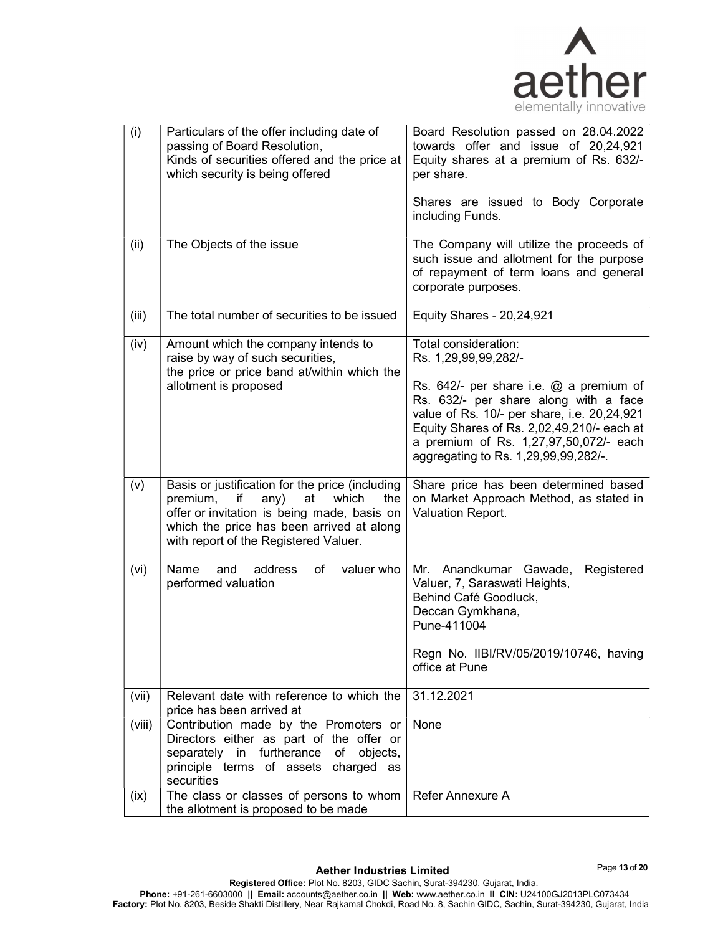

| (i)    | Particulars of the offer including date of<br>passing of Board Resolution,<br>Kinds of securities offered and the price at<br>which security is being offered                                                                     | Board Resolution passed on 28.04.2022<br>towards offer and issue of 20,24,921<br>Equity shares at a premium of Rs. 632/-<br>per share.                                                                                                                                                                              |
|--------|-----------------------------------------------------------------------------------------------------------------------------------------------------------------------------------------------------------------------------------|---------------------------------------------------------------------------------------------------------------------------------------------------------------------------------------------------------------------------------------------------------------------------------------------------------------------|
|        |                                                                                                                                                                                                                                   | Shares are issued to Body Corporate<br>including Funds.                                                                                                                                                                                                                                                             |
| (ii)   | The Objects of the issue                                                                                                                                                                                                          | The Company will utilize the proceeds of<br>such issue and allotment for the purpose<br>of repayment of term loans and general<br>corporate purposes.                                                                                                                                                               |
| (iii)  | The total number of securities to be issued                                                                                                                                                                                       | <b>Equity Shares - 20,24,921</b>                                                                                                                                                                                                                                                                                    |
| (iv)   | Amount which the company intends to<br>raise by way of such securities,<br>the price or price band at/within which the<br>allotment is proposed                                                                                   | Total consideration:<br>Rs. 1,29,99,99,282/-<br>Rs. $642/-$ per share i.e. $@$ a premium of<br>Rs. 632/- per share along with a face<br>value of Rs. 10/- per share, i.e. 20,24,921<br>Equity Shares of Rs. 2,02,49,210/- each at<br>a premium of Rs. 1,27,97,50,072/- each<br>aggregating to Rs. 1,29,99,99,282/-. |
| (v)    | Basis or justification for the price (including<br>premium, if<br>any)<br>which<br>at<br>the<br>offer or invitation is being made, basis on<br>which the price has been arrived at along<br>with report of the Registered Valuer. | Share price has been determined based<br>on Market Approach Method, as stated in<br>Valuation Report.                                                                                                                                                                                                               |
| (vi)   | address<br>Name<br>of<br>valuer who<br>and<br>performed valuation                                                                                                                                                                 | Mr. Anandkumar Gawade,<br>Registered<br>Valuer, 7, Saraswati Heights,<br>Behind Café Goodluck,<br>Deccan Gymkhana,<br>Pune-411004<br>Regn No. IIBI/RV/05/2019/10746, having<br>office at Pune                                                                                                                       |
| (vii)  | Relevant date with reference to which the<br>price has been arrived at                                                                                                                                                            | 31.12.2021                                                                                                                                                                                                                                                                                                          |
| (viii) | Contribution made by the Promoters or<br>Directors either as part of the offer or<br>separately in furtherance of objects,<br>principle terms of assets charged as<br>securities                                                  | None                                                                                                                                                                                                                                                                                                                |
| (ix)   | The class or classes of persons to whom<br>the allotment is proposed to be made                                                                                                                                                   | Refer Annexure A                                                                                                                                                                                                                                                                                                    |

Page 13 of 20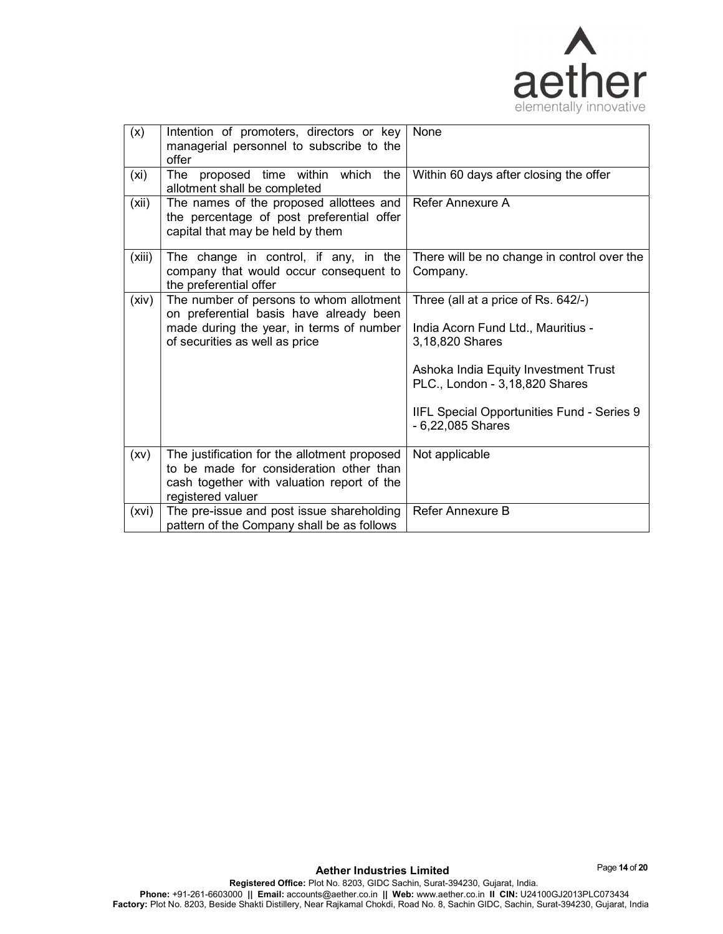

| (x)    | Intention of promoters, directors or key<br>managerial personnel to subscribe to the<br>offer                                                                    | None                                                                                                                                                                                                                                      |
|--------|------------------------------------------------------------------------------------------------------------------------------------------------------------------|-------------------------------------------------------------------------------------------------------------------------------------------------------------------------------------------------------------------------------------------|
| (xi)   | The proposed time within which<br>the<br>allotment shall be completed                                                                                            | Within 60 days after closing the offer                                                                                                                                                                                                    |
| (xii)  | The names of the proposed allottees and<br>the percentage of post preferential offer<br>capital that may be held by them                                         | Refer Annexure A                                                                                                                                                                                                                          |
| (xiii) | The change in control, if any, in the<br>company that would occur consequent to<br>the preferential offer                                                        | There will be no change in control over the<br>Company.                                                                                                                                                                                   |
| (xiv)  | The number of persons to whom allotment<br>on preferential basis have already been<br>made during the year, in terms of number<br>of securities as well as price | Three (all at a price of Rs. 642/-)<br>India Acorn Fund Ltd., Mauritius -<br>3,18,820 Shares<br>Ashoka India Equity Investment Trust<br>PLC., London - 3,18,820 Shares<br>IIFL Special Opportunities Fund - Series 9<br>- 6,22,085 Shares |
| (xv)   | The justification for the allotment proposed<br>to be made for consideration other than<br>cash together with valuation report of the<br>registered valuer       | Not applicable                                                                                                                                                                                                                            |
| (xvi)  | The pre-issue and post issue shareholding<br>pattern of the Company shall be as follows                                                                          | Refer Annexure B                                                                                                                                                                                                                          |

Page 14 of 20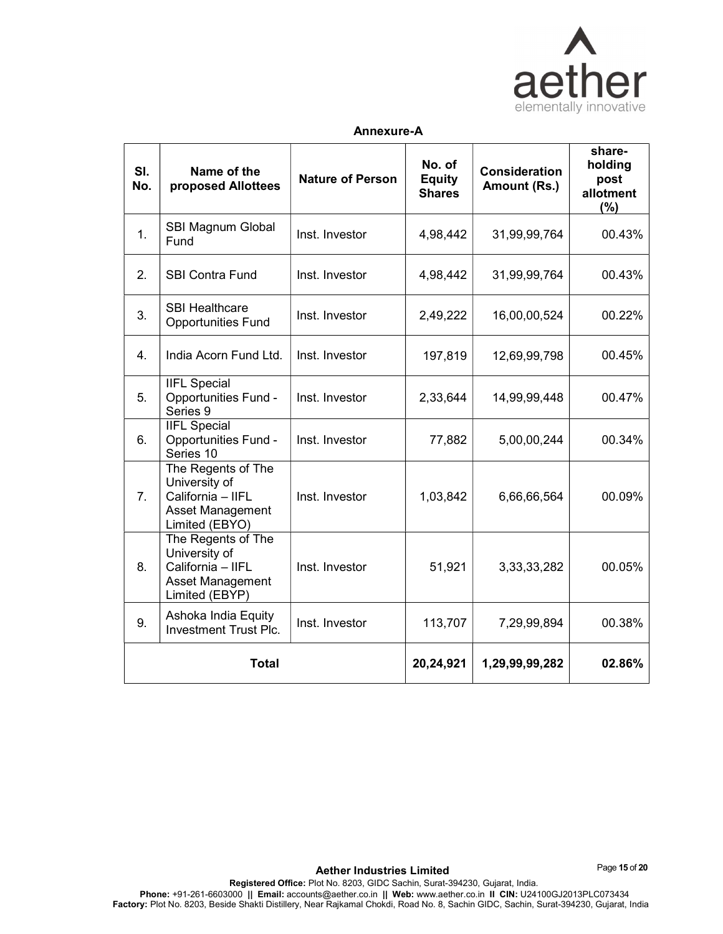

### Annexure-A

| SI.<br>No.       | Name of the<br>proposed Allottees                                                              | <b>Nature of Person</b> | No. of<br><b>Equity</b><br><b>Shares</b> | <b>Consideration</b><br>Amount (Rs.) | share-<br>holding<br>post<br>allotment<br>(%) |
|------------------|------------------------------------------------------------------------------------------------|-------------------------|------------------------------------------|--------------------------------------|-----------------------------------------------|
| 1.               | SBI Magnum Global<br>Fund                                                                      | Inst. Investor          | 4,98,442                                 | 31,99,99,764                         | 00.43%                                        |
| 2.               | <b>SBI Contra Fund</b>                                                                         | Inst. Investor          | 4,98,442                                 | 31,99,99,764                         | 00.43%                                        |
| 3.               | <b>SBI Healthcare</b><br><b>Opportunities Fund</b>                                             | Inst. Investor          | 2,49,222                                 | 16,00,00,524                         | 00.22%                                        |
| $\overline{4}$ . | India Acorn Fund Ltd.                                                                          | Inst. Investor          | 197,819                                  | 12,69,99,798                         | 00.45%                                        |
| 5.               | <b>IIFL Special</b><br><b>Opportunities Fund -</b><br>Series 9                                 | Inst. Investor          | 2,33,644                                 | 14,99,99,448                         | 00.47%                                        |
| 6.               | <b>IIFL Special</b><br>Opportunities Fund -<br>Series 10                                       | Inst. Investor          | 77,882                                   | 5,00,00,244                          | 00.34%                                        |
| 7 <sub>1</sub>   | The Regents of The<br>University of<br>California - IIFL<br>Asset Management<br>Limited (EBYO) | Inst. Investor          | 1,03,842                                 | 6,66,66,564                          | 00.09%                                        |
| 8.               | The Regents of The<br>University of<br>California - IIFL<br>Asset Management<br>Limited (EBYP) | Inst. Investor          | 51,921                                   | 3, 33, 33, 282                       | 00.05%                                        |
| 9.               | Ashoka India Equity<br><b>Investment Trust Plc.</b>                                            | Inst. Investor          | 113,707                                  | 7,29,99,894                          | 00.38%                                        |
|                  | <b>Total</b>                                                                                   |                         | 20,24,921                                | 1,29,99,99,282                       | 02.86%                                        |

Page 15 of 20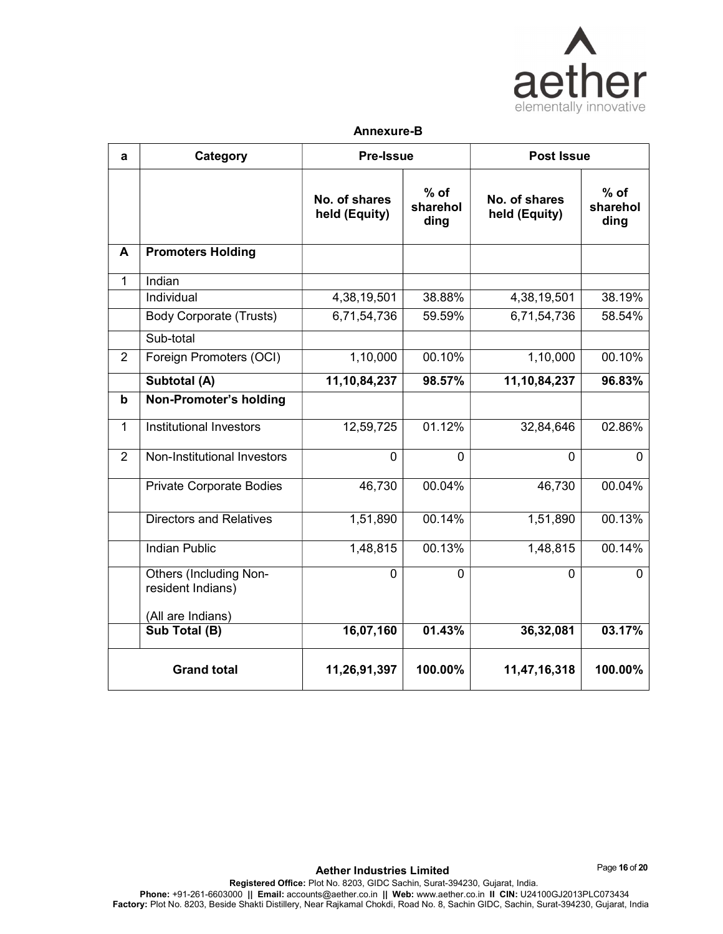

#### Annexure-B

| a              | Category                                           | <b>Pre-Issue</b>               |                            | <b>Post Issue</b>              |                            |
|----------------|----------------------------------------------------|--------------------------------|----------------------------|--------------------------------|----------------------------|
|                |                                                    | No. of shares<br>held (Equity) | $%$ of<br>sharehol<br>ding | No. of shares<br>held (Equity) | $%$ of<br>sharehol<br>ding |
| $\mathbf{A}$   | <b>Promoters Holding</b>                           |                                |                            |                                |                            |
| $\mathbf{1}$   | Indian                                             |                                |                            |                                |                            |
|                | Individual                                         | 4,38,19,501                    | 38.88%                     | 4,38,19,501                    | 38.19%                     |
|                | <b>Body Corporate (Trusts)</b>                     | 6,71,54,736                    | 59.59%                     | 6,71,54,736                    | 58.54%                     |
|                | Sub-total                                          |                                |                            |                                |                            |
| $\overline{2}$ | Foreign Promoters (OCI)                            | 1,10,000                       | 00.10%                     | 1,10,000                       | 00.10%                     |
|                | Subtotal (A)                                       | 11, 10, 84, 237                | 98.57%                     | 11,10,84,237                   | 96.83%                     |
| $\mathbf b$    | Non-Promoter's holding                             |                                |                            |                                |                            |
| $\mathbf{1}$   | <b>Institutional Investors</b>                     | 12,59,725                      | 01.12%                     | 32,84,646                      | 02.86%                     |
| $\overline{2}$ | Non-Institutional Investors                        | $\mathbf 0$                    | $\mathbf 0$                | $\mathbf 0$                    | $\overline{0}$             |
|                | <b>Private Corporate Bodies</b>                    | 46,730                         | 00.04%                     | 46,730                         | 00.04%                     |
|                | <b>Directors and Relatives</b>                     | 1,51,890                       | 00.14%                     | 1,51,890                       | 00.13%                     |
|                | <b>Indian Public</b>                               | 1,48,815                       | 00.13%                     | 1,48,815                       | 00.14%                     |
|                | <b>Others (Including Non-</b><br>resident Indians) | $\mathbf 0$                    | $\mathbf 0$                | $\mathbf{0}$                   | $\Omega$                   |
|                | (All are Indians)                                  |                                |                            |                                |                            |
|                | Sub Total (B)                                      | 16,07,160                      | 01.43%                     | 36,32,081                      | 03.17%                     |
|                | <b>Grand total</b>                                 | 11,26,91,397                   | 100.00%                    | 11,47,16,318                   | 100.00%                    |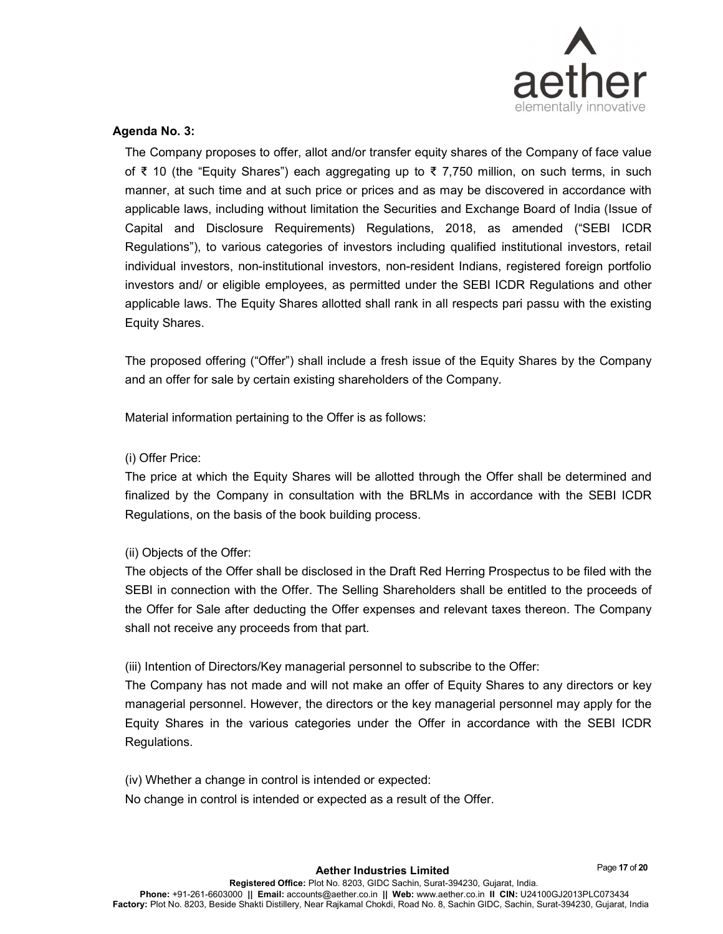

# Agenda No. 3:

The Company proposes to offer, allot and/or transfer equity shares of the Company of face value of ₹ 10 (the "Equity Shares") each aggregating up to ₹ 7,750 million, on such terms, in such manner, at such time and at such price or prices and as may be discovered in accordance with applicable laws, including without limitation the Securities and Exchange Board of India (Issue of Capital and Disclosure Requirements) Regulations, 2018, as amended ("SEBI ICDR Regulations"), to various categories of investors including qualified institutional investors, retail individual investors, non-institutional investors, non-resident Indians, registered foreign portfolio investors and/ or eligible employees, as permitted under the SEBI ICDR Regulations and other applicable laws. The Equity Shares allotted shall rank in all respects pari passu with the existing Equity Shares.

The proposed offering ("Offer") shall include a fresh issue of the Equity Shares by the Company and an offer for sale by certain existing shareholders of the Company.

Material information pertaining to the Offer is as follows:

# (i) Offer Price:

The price at which the Equity Shares will be allotted through the Offer shall be determined and finalized by the Company in consultation with the BRLMs in accordance with the SEBI ICDR Regulations, on the basis of the book building process.

# (ii) Objects of the Offer:

The objects of the Offer shall be disclosed in the Draft Red Herring Prospectus to be filed with the SEBI in connection with the Offer. The Selling Shareholders shall be entitled to the proceeds of the Offer for Sale after deducting the Offer expenses and relevant taxes thereon. The Company shall not receive any proceeds from that part.

# (iii) Intention of Directors/Key managerial personnel to subscribe to the Offer:

The Company has not made and will not make an offer of Equity Shares to any directors or key managerial personnel. However, the directors or the key managerial personnel may apply for the Equity Shares in the various categories under the Offer in accordance with the SEBI ICDR Regulations.

(iv) Whether a change in control is intended or expected:

No change in control is intended or expected as a result of the Offer.

Page 17 of 20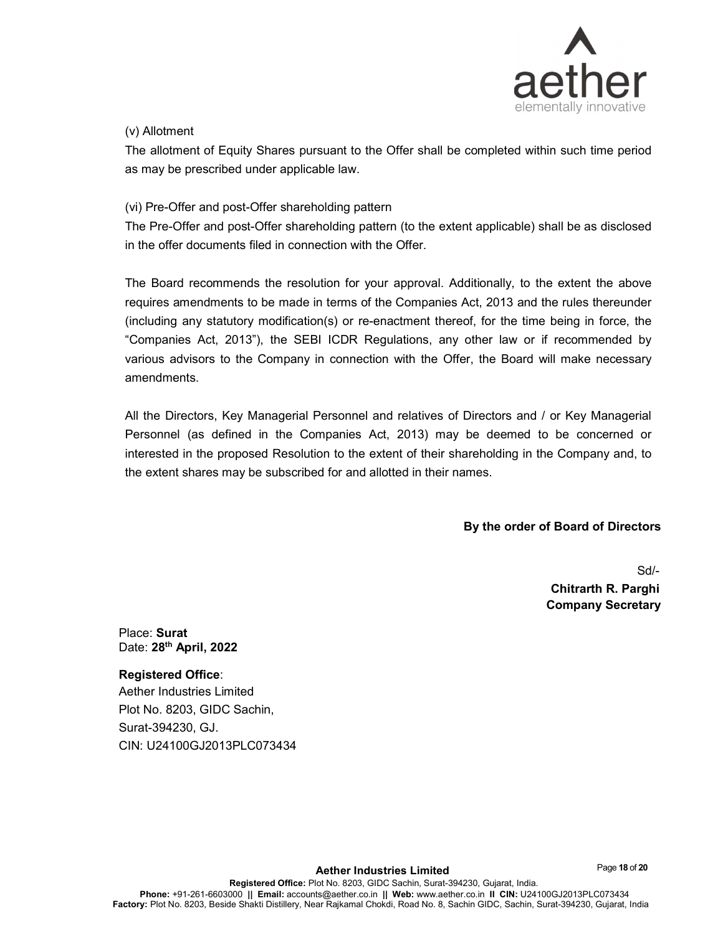

# (v) Allotment

The allotment of Equity Shares pursuant to the Offer shall be completed within such time period as may be prescribed under applicable law.

# (vi) Pre-Offer and post-Offer shareholding pattern

The Pre-Offer and post-Offer shareholding pattern (to the extent applicable) shall be as disclosed in the offer documents filed in connection with the Offer.

The Board recommends the resolution for your approval. Additionally, to the extent the above requires amendments to be made in terms of the Companies Act, 2013 and the rules thereunder (including any statutory modification(s) or re-enactment thereof, for the time being in force, the "Companies Act, 2013"), the SEBI ICDR Regulations, any other law or if recommended by various advisors to the Company in connection with the Offer, the Board will make necessary amendments.

All the Directors, Key Managerial Personnel and relatives of Directors and / or Key Managerial Personnel (as defined in the Companies Act, 2013) may be deemed to be concerned or interested in the proposed Resolution to the extent of their shareholding in the Company and, to the extent shares may be subscribed for and allotted in their names.

By the order of Board of Directors

Sd/- Chitrarth R. Parghi Company Secretary

Place: Surat Date: 28<sup>th</sup> April, 2022

Registered Office: Aether Industries Limited Plot No. 8203, GIDC Sachin, Surat-394230, GJ. CIN: U24100GJ2013PLC073434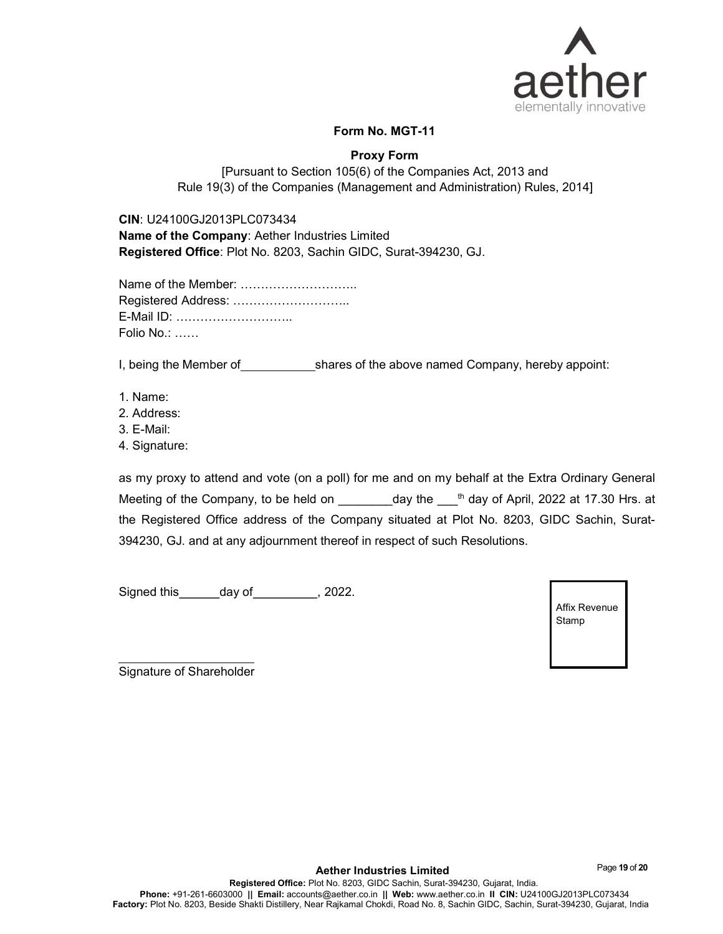

# Form No. MGT-11

# Proxy Form

[Pursuant to Section 105(6) of the Companies Act, 2013 and Rule 19(3) of the Companies (Management and Administration) Rules, 2014]

CIN: U24100GJ2013PLC073434

Name of the Company: Aether Industries Limited Registered Office: Plot No. 8203, Sachin GIDC, Surat-394230, GJ.

| Name of the Member:   |  |
|-----------------------|--|
|                       |  |
| E-Mail ID:            |  |
| Folio No.: $\ldots$ . |  |

I, being the Member of shares of the above named Company, hereby appoint:

- 1. Name:
- 2. Address:
- 3. E-Mail:
- 4. Signature:

as my proxy to attend and vote (on a poll) for me and on my behalf at the Extra Ordinary General Meeting of the Company, to be held on day the <sup>th</sup> day of April, 2022 at 17.30 Hrs. at the Registered Office address of the Company situated at Plot No. 8203, GIDC Sachin, Surat-394230, GJ. and at any adjournment thereof in respect of such Resolutions.

Signed this day of , 2022.

Affix Revenue Stamp

Signature of Shareholder

Page 19 of 20